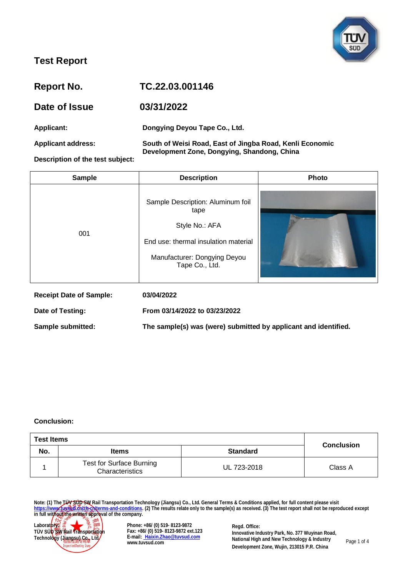

| Report No.                       | TC.22.03.001146                                                                                         |
|----------------------------------|---------------------------------------------------------------------------------------------------------|
| Date of Issue                    | 03/31/2022                                                                                              |
| <b>Applicant:</b>                | Dongying Deyou Tape Co., Ltd.                                                                           |
| <b>Applicant address:</b>        | South of Weisi Road, East of Jingba Road, Kenli Economic<br>Development Zone, Dongying, Shandong, China |
| Description of the test subject: |                                                                                                         |

| <b>Sample</b>                  | <b>Description</b>                                                                                                                                    | Photo |
|--------------------------------|-------------------------------------------------------------------------------------------------------------------------------------------------------|-------|
| 001                            | Sample Description: Aluminum foil<br>tape<br>Style No.: AFA<br>End use: thermal insulation material<br>Manufacturer: Dongying Deyou<br>Tape Co., Ltd. |       |
| <b>Receipt Date of Sample:</b> | 03/04/2022                                                                                                                                            |       |
| Date of Testing:               | From 03/14/2022 to 03/23/2022                                                                                                                         |       |

**Sample submitted: The sample(s) was (were) submitted by applicant and identified.**

#### **Conclusion:**

| <b>Test Items</b> |                                                    |                 |                   |
|-------------------|----------------------------------------------------|-----------------|-------------------|
| No.               | <b>Items</b>                                       | <b>Standard</b> | <b>Conclusion</b> |
|                   | <b>Test for Surface Burning</b><br>Characteristics | UL 723-2018     | Class A           |

**Note: (1) The TÜV SÜD SW Rail Transportation Technology (Jiangsu) Co., Ltd. General Terms & Conditions applied, for full content please visit [https://www.tuvsud.cn/zh-cn/terms-and-conditions.](https://www.tuvsud.cn/zh-cn/terms-and-conditions) (2) The results relate only to the sample(s) as received. (3) The test report shall not be reproduced except in full without the written approval of the company.**



**Phone: +86/ (0) 519- 8123-9872 Fax: +86/ (0) 519- 8123-9872 ext.123 E-mail: [Haixin.Zhao@tuvsud.com](mailto: Haixin.Zhao@tuvsud.com) www.tuvsud.com**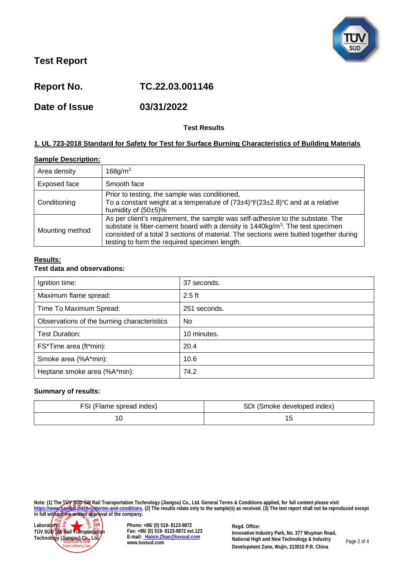

**Report No. TC.22.03.001146**

**Date of Issue 03/31/2022**

### **Test Results**

#### **1. UL 723-2018 Standard for Safety for Test for Surface Burning Characteristics of Building Materials**

#### **Sample Description:**

| Area density    | $168$ g/m <sup>2</sup>                                                                                                                                                                                                                                                                                                |
|-----------------|-----------------------------------------------------------------------------------------------------------------------------------------------------------------------------------------------------------------------------------------------------------------------------------------------------------------------|
| Exposed face    | Smooth face                                                                                                                                                                                                                                                                                                           |
| Conditioning    | Prior to testing, the sample was conditioned,<br>To a constant weight at a temperature of $(73\pm4)^\circ F(23\pm2.8)^\circ C$ and at a relative<br>humidity of $(50±5)\%$                                                                                                                                            |
| Mounting method | As per client's requirement, the sample was self-adhesive to the substate. The<br>substate is fiber-cement board with a density is $1440 \text{kg/m}^3$ . The test specimen<br>consisted of a total 3 sections of material. The sections were butted together during<br>testing to form the required specimen length. |

#### **Results:**

#### **Test data and observations:**

| Ignition time:                              | 37 seconds.  |
|---------------------------------------------|--------------|
| Maximum flame spread:                       | $2.5$ ft     |
| Time To Maximum Spread:                     | 251 seconds. |
| Observations of the burning characteristics | No.          |
| Test Duration:                              | 10 minutes.  |
| FS*Time area (ft*min):                      | 20.4         |
| Smoke area (%A*min):                        | 10.6         |
| Heptane smoke area (%A*min):                | 74.2         |

#### **Summary of results:**

| FSI (Flame spread index) | SDI (Smoke developed index) |
|--------------------------|-----------------------------|
|                          |                             |

**Note: (1) The TÜV SÜD SW Rail Transportation Technology (Jiangsu) Co., Ltd. General Terms & Conditions applied, for full content please visit [https://www.tuvsud.cn/zh-cn/terms-and-conditions.](https://www.tuvsud.cn/zh-cn/terms-and-conditions) (2) The results relate only to the sample(s) as received. (3) The test report shall not be reproduced except in full without the written approval of the company.**



**Phone: +86/ (0) 519- 8123-9872 Fax: +86/ (0) 519- 8123-9872 ext.123 E-mail: [Haixin.Zhao@tuvsud.com](mailto: Haixin.Zhao@tuvsud.com) www.tuvsud.com**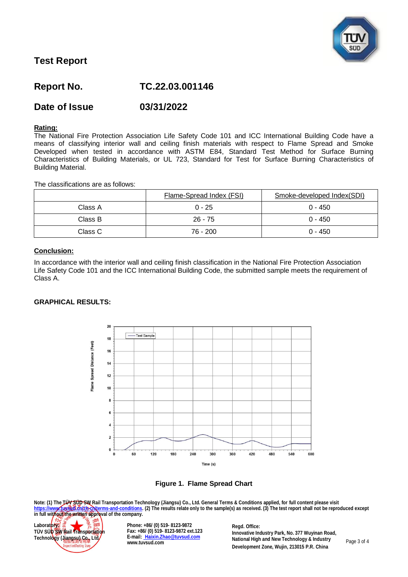

# **Report No. TC.22.03.001146**

## **Date of Issue 03/31/2022**

#### **Rating:**

The National Fire Protection Association Life Safety Code 101 and ICC International Building Code have a means of classifying interior wall and ceiling finish materials with respect to Flame Spread and Smoke Developed when tested in accordance with ASTM E84, Standard Test Method for Surface Burning Characteristics of Building Materials, or UL 723, Standard for Test for Surface Burning Characteristics of Building Material.

The classifications are as follows:

|         | Flame-Spread Index (FSI) | Smoke-developed Index(SDI) |
|---------|--------------------------|----------------------------|
| Class A | $0 - 25$                 | $0 - 450$                  |
| Class B | $26 - 75$                | $0 - 450$                  |
| Class C | 76 - 200                 | $0 - 450$                  |

#### **Conclusion:**

In accordance with the interior wall and ceiling finish classification in the National Fire Protection Association Life Safety Code 101 and the ICC International Building Code, the submitted sample meets the requirement of Class A.

#### **GRAPHICAL RESULTS:**



**Figure 1. Flame Spread Chart**

**Note: (1) The TÜV SÜD SW Rail Transportation Technology (Jiangsu) Co., Ltd. General Terms & Conditions applied, for full content please visit [https://www.tuvsud.cn/zh-cn/terms-and-conditions.](https://www.tuvsud.cn/zh-cn/terms-and-conditions) (2) The results relate only to the sample(s) as received. (3) The test report shall not be reproduced except ittps://www.fussedt.org/providents.and-company** (changed) sources in the sample(s) as received. (3) The test report shall not be reproduced except<br>in full without the written approval of the company.



**Phone: +86/ (0) 519- 8123-9872 Fax: +86/ (0) 519- 8123-9872 ext.123 E-mail: [Haixin.Zhao@tuvsud.com](mailto: Haixin.Zhao@tuvsud.com) www.tuvsud.com**